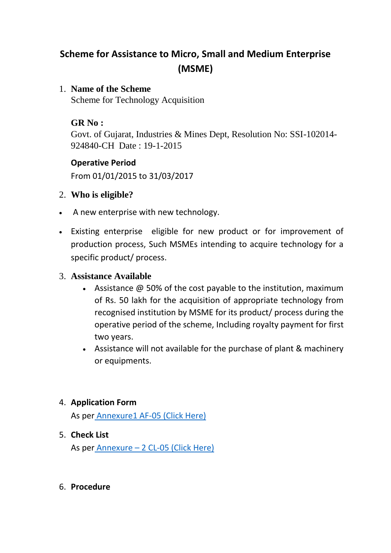# **Scheme for Assistance to Micro, Small and Medium Enterprise (MSME)**

### 1. **Name of the Scheme**

Scheme for Technology Acquisition

### **GR No :**

Govt. of Gujarat, Industries & Mines Dept, Resolution No: SSI-102014- 924840-CH Date : 19-1-2015

#### **Operative Period**

From 01/01/2015 to 31/03/2017

## 2. **Who is eligible?**

- A new enterprise with new technology.
- Existing enterprise eligible for new product or for improvement of production process, Such MSMEs intending to acquire technology for a specific product/ process.

#### 3. **Assistance Available**

- Assistance @ 50% of the cost payable to the institution, maximum of Rs. 50 lakh for the acquisition of appropriate technology from recognised institution by MSME for its product/ process during the operative period of the scheme, Including royalty payment for first two years.
- Assistance will not available for the purchase of plant & machinery or equipments.

#### 4. **Application Form**

As per [Annexure1 AF-05](http://ic.gujarat.gov.in/documents/pagecontent/AF-05-scheme-5.pdf) (Click Here)

5. **Check List** As per Annexure – [2 CL-05 \(Click Here\)](http://ic.gujarat.gov.in/documents/pagecontent/CL-05-scheme-5.pdf)

#### 6. **Procedure**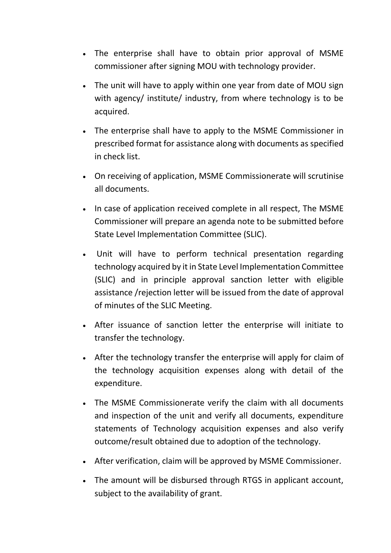- The enterprise shall have to obtain prior approval of MSME commissioner after signing MOU with technology provider.
- The unit will have to apply within one year from date of MOU sign with agency/ institute/ industry, from where technology is to be acquired.
- The enterprise shall have to apply to the MSME Commissioner in prescribed format for assistance along with documents as specified in check list.
- On receiving of application, MSME Commissionerate will scrutinise all documents.
- In case of application received complete in all respect, The MSME Commissioner will prepare an agenda note to be submitted before State Level Implementation Committee (SLIC).
- Unit will have to perform technical presentation regarding technology acquired by it in State Level Implementation Committee (SLIC) and in principle approval sanction letter with eligible assistance /rejection letter will be issued from the date of approval of minutes of the SLIC Meeting.
- After issuance of sanction letter the enterprise will initiate to transfer the technology.
- After the technology transfer the enterprise will apply for claim of the technology acquisition expenses along with detail of the expenditure.
- The MSME Commissionerate verify the claim with all documents and inspection of the unit and verify all documents, expenditure statements of Technology acquisition expenses and also verify outcome/result obtained due to adoption of the technology.
- After verification, claim will be approved by MSME Commissioner.
- The amount will be disbursed through RTGS in applicant account, subject to the availability of grant.